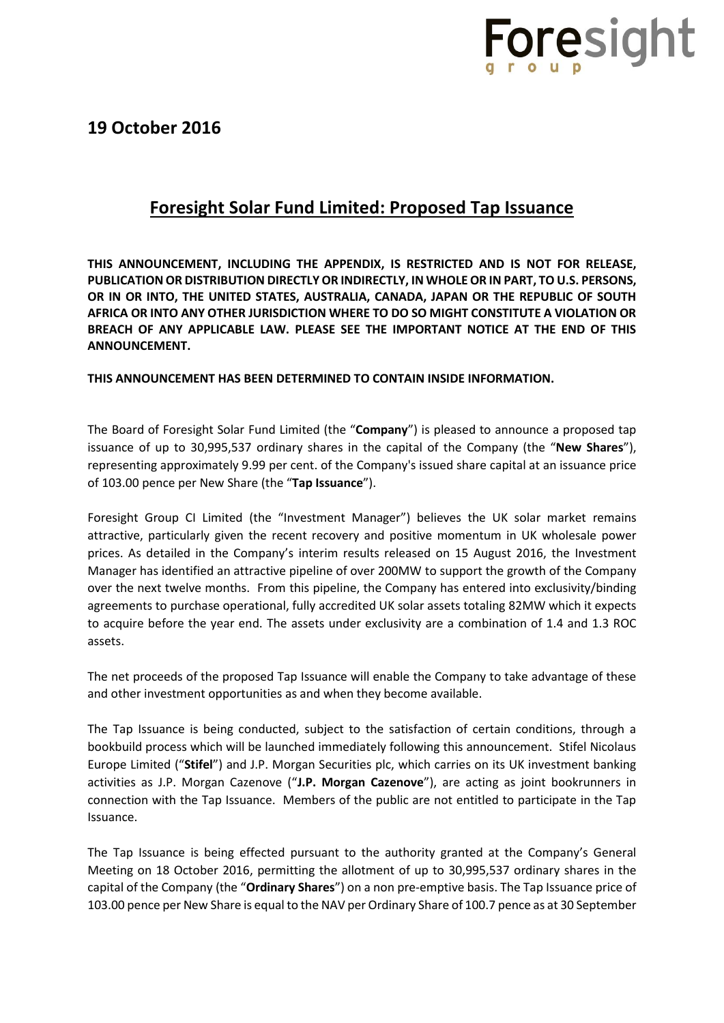

### **Foresight Solar Fund Limited: Proposed Tap Issuance**

**THIS ANNOUNCEMENT, INCLUDING THE APPENDIX, IS RESTRICTED AND IS NOT FOR RELEASE, PUBLICATION OR DISTRIBUTION DIRECTLY OR INDIRECTLY, IN WHOLE OR IN PART, TO U.S. PERSONS, OR IN OR INTO, THE UNITED STATES, AUSTRALIA, CANADA, JAPAN OR THE REPUBLIC OF SOUTH AFRICA OR INTO ANY OTHER JURISDICTION WHERE TO DO SO MIGHT CONSTITUTE A VIOLATION OR BREACH OF ANY APPLICABLE LAW. PLEASE SEE THE IMPORTANT NOTICE AT THE END OF THIS ANNOUNCEMENT.**

### **THIS ANNOUNCEMENT HAS BEEN DETERMINED TO CONTAIN INSIDE INFORMATION.**

The Board of Foresight Solar Fund Limited (the "**Company**") is pleased to announce a proposed tap issuance of up to 30,995,537 ordinary shares in the capital of the Company (the "**New Shares**"), representing approximately 9.99 per cent. of the Company's issued share capital at an issuance price of 103.00 pence per New Share (the "**Tap Issuance**").

Foresight Group CI Limited (the "Investment Manager") believes the UK solar market remains attractive, particularly given the recent recovery and positive momentum in UK wholesale power prices. As detailed in the Company's interim results released on 15 August 2016, the Investment Manager has identified an attractive pipeline of over 200MW to support the growth of the Company over the next twelve months. From this pipeline, the Company has entered into exclusivity/binding agreements to purchase operational, fully accredited UK solar assets totaling 82MW which it expects to acquire before the year end. The assets under exclusivity are a combination of 1.4 and 1.3 ROC assets.

The net proceeds of the proposed Tap Issuance will enable the Company to take advantage of these and other investment opportunities as and when they become available.

The Tap Issuance is being conducted, subject to the satisfaction of certain conditions, through a bookbuild process which will be launched immediately following this announcement. Stifel Nicolaus Europe Limited ("**Stifel**") and J.P. Morgan Securities plc, which carries on its UK investment banking activities as J.P. Morgan Cazenove ("**J.P. Morgan Cazenove**"), are acting as joint bookrunners in connection with the Tap Issuance. Members of the public are not entitled to participate in the Tap Issuance.

The Tap Issuance is being effected pursuant to the authority granted at the Company's General Meeting on 18 October 2016, permitting the allotment of up to 30,995,537 ordinary shares in the capital of the Company (the "**Ordinary Shares**") on a non pre-emptive basis. The Tap Issuance price of 103.00 pence per New Share is equal to the NAV per Ordinary Share of 100.7 pence as at 30 September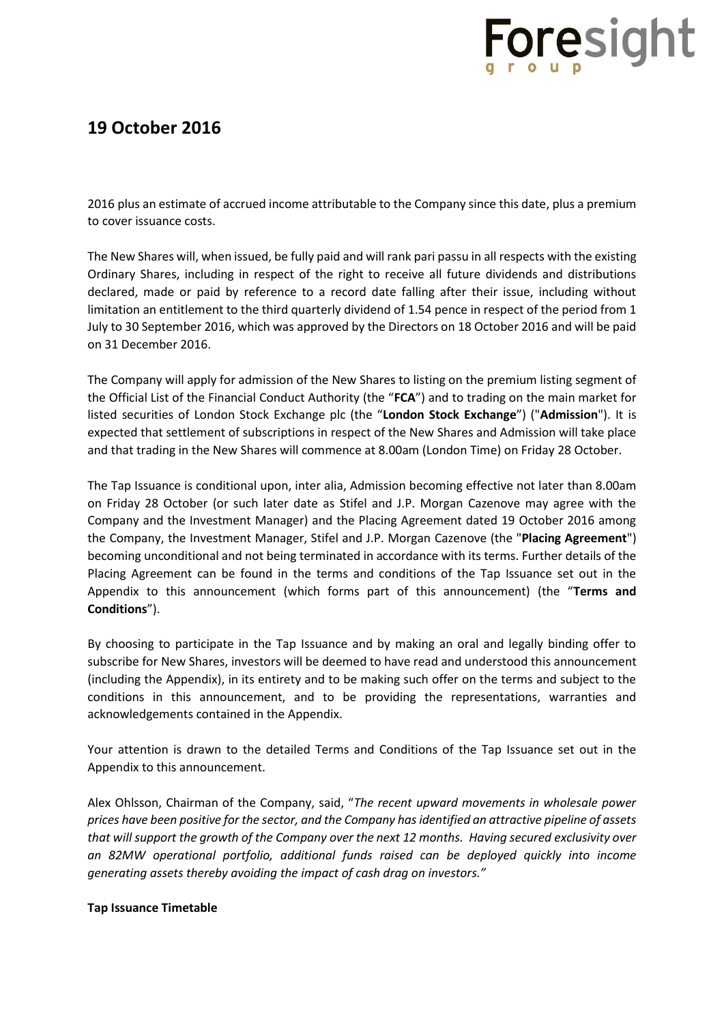## **19 October 2016**

2016 plus an estimate of accrued income attributable to the Company since this date, plus a premium to cover issuance costs.

The New Shares will, when issued, be fully paid and will rank pari passu in all respects with the existing Ordinary Shares, including in respect of the right to receive all future dividends and distributions declared, made or paid by reference to a record date falling after their issue, including without limitation an entitlement to the third quarterly dividend of 1.54 pence in respect of the period from 1 July to 30 September 2016, which was approved by the Directors on 18 October 2016 and will be paid on 31 December 2016.

The Company will apply for admission of the New Shares to listing on the premium listing segment of the Official List of the Financial Conduct Authority (the "**FCA**") and to trading on the main market for listed securities of London Stock Exchange plc (the "**London Stock Exchange**") ("**Admission**"). It is expected that settlement of subscriptions in respect of the New Shares and Admission will take place and that trading in the New Shares will commence at 8.00am (London Time) on Friday 28 October.

The Tap Issuance is conditional upon, inter alia, Admission becoming effective not later than 8.00am on Friday 28 October (or such later date as Stifel and J.P. Morgan Cazenove may agree with the Company and the Investment Manager) and the Placing Agreement dated 19 October 2016 among the Company, the Investment Manager, Stifel and J.P. Morgan Cazenove (the "**Placing Agreement**") becoming unconditional and not being terminated in accordance with its terms. Further details of the Placing Agreement can be found in the terms and conditions of the Tap Issuance set out in the Appendix to this announcement (which forms part of this announcement) (the "**Terms and Conditions**").

By choosing to participate in the Tap Issuance and by making an oral and legally binding offer to subscribe for New Shares, investors will be deemed to have read and understood this announcement (including the Appendix), in its entirety and to be making such offer on the terms and subject to the conditions in this announcement, and to be providing the representations, warranties and acknowledgements contained in the Appendix.

Your attention is drawn to the detailed Terms and Conditions of the Tap Issuance set out in the Appendix to this announcement.

Alex Ohlsson, Chairman of the Company, said, "*The recent upward movements in wholesale power prices have been positive for the sector, and the Company has identified an attractive pipeline of assets that will support the growth of the Company over the next 12 months. Having secured exclusivity over an 82MW operational portfolio, additional funds raised can be deployed quickly into income generating assets thereby avoiding the impact of cash drag on investors."*

### **Tap Issuance Timetable**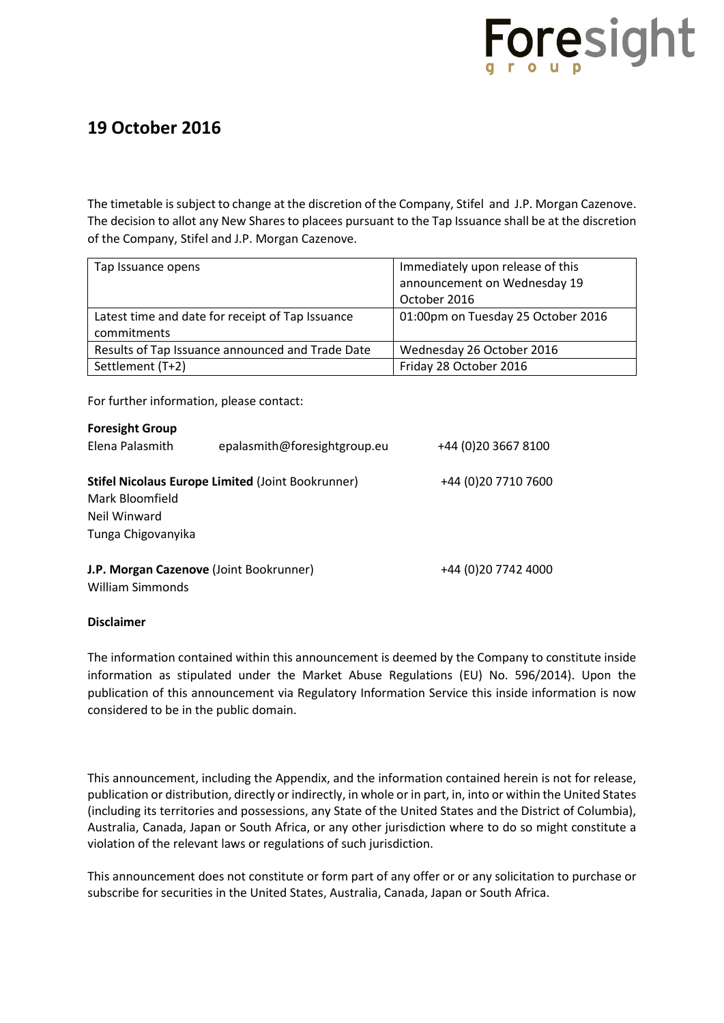

The timetable is subject to change at the discretion of the Company, Stifel and J.P. Morgan Cazenove. The decision to allot any New Shares to placees pursuant to the Tap Issuance shall be at the discretion of the Company, Stifel and J.P. Morgan Cazenove.

| Tap Issuance opens                               | Immediately upon release of this   |  |
|--------------------------------------------------|------------------------------------|--|
|                                                  | announcement on Wednesday 19       |  |
|                                                  | October 2016                       |  |
| Latest time and date for receipt of Tap Issuance | 01:00pm on Tuesday 25 October 2016 |  |
| commitments                                      |                                    |  |
| Results of Tap Issuance announced and Trade Date | Wednesday 26 October 2016          |  |
| Settlement (T+2)                                 | Friday 28 October 2016             |  |

For further information, please contact:

| <b>Foresight Group</b>                                   |                              |                      |
|----------------------------------------------------------|------------------------------|----------------------|
| Elena Palasmith                                          | epalasmith@foresightgroup.eu | +44 (0) 20 3667 8100 |
| <b>Stifel Nicolaus Europe Limited (Joint Bookrunner)</b> |                              | +44 (0) 20 7710 7600 |
| Mark Bloomfield                                          |                              |                      |
| Neil Winward                                             |                              |                      |
| Tunga Chigovanyika                                       |                              |                      |
| J.P. Morgan Cazenove (Joint Bookrunner)                  |                              | +44 (0)20 7742 4000  |
| William Simmonds                                         |                              |                      |

### **Disclaimer**

The information contained within this announcement is deemed by the Company to constitute inside information as stipulated under the Market Abuse Regulations (EU) No. 596/2014). Upon the publication of this announcement via Regulatory Information Service this inside information is now considered to be in the public domain.

This announcement, including the Appendix, and the information contained herein is not for release, publication or distribution, directly or indirectly, in whole or in part, in, into or within the United States (including its territories and possessions, any State of the United States and the District of Columbia), Australia, Canada, Japan or South Africa, or any other jurisdiction where to do so might constitute a violation of the relevant laws or regulations of such jurisdiction.

This announcement does not constitute or form part of any offer or or any solicitation to purchase or subscribe for securities in the United States, Australia, Canada, Japan or South Africa.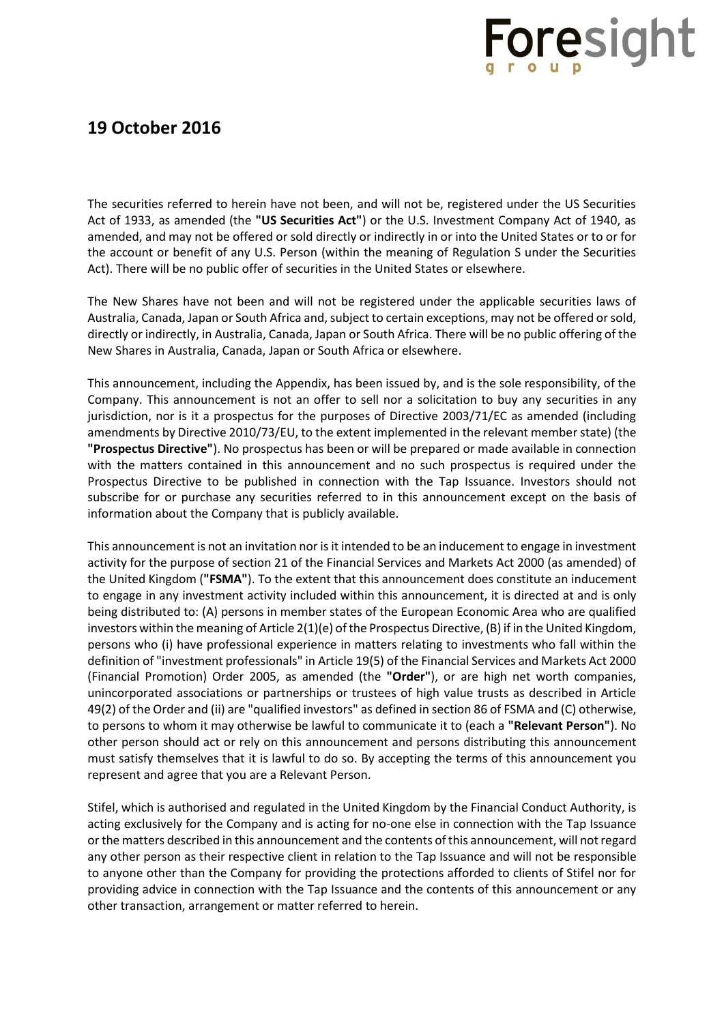## **19 October 2016**

The securities referred to herein have not been, and will not be, registered under the US Securities Act of 1933, as amended (the **"US Securities Act"**) or the U.S. Investment Company Act of 1940, as amended, and may not be offered or sold directly or indirectly in or into the United States or to or for the account or benefit of any U.S. Person (within the meaning of Regulation S under the Securities Act). There will be no public offer of securities in the United States or elsewhere.

The New Shares have not been and will not be registered under the applicable securities laws of Australia, Canada, Japan or South Africa and, subject to certain exceptions, may not be offered or sold, directly or indirectly, in Australia, Canada, Japan or South Africa. There will be no public offering of the New Shares in Australia, Canada, Japan or South Africa or elsewhere.

This announcement, including the Appendix, has been issued by, and is the sole responsibility, of the Company. This announcement is not an offer to sell nor a solicitation to buy any securities in any jurisdiction, nor is it a prospectus for the purposes of Directive 2003/71/EC as amended (including amendments by Directive 2010/73/EU, to the extent implemented in the relevant member state) (the **"Prospectus Directive"**). No prospectus has been or will be prepared or made available in connection with the matters contained in this announcement and no such prospectus is required under the Prospectus Directive to be published in connection with the Tap Issuance. Investors should not subscribe for or purchase any securities referred to in this announcement except on the basis of information about the Company that is publicly available.

This announcement is not an invitation nor is it intended to be an inducement to engage in investment activity for the purpose of section 21 of the Financial Services and Markets Act 2000 (as amended) of the United Kingdom (**"FSMA"**). To the extent that this announcement does constitute an inducement to engage in any investment activity included within this announcement, it is directed at and is only being distributed to: (A) persons in member states of the European Economic Area who are qualified investors within the meaning of Article 2(1)(e) of the Prospectus Directive, (B) if in the United Kingdom, persons who (i) have professional experience in matters relating to investments who fall within the definition of "investment professionals" in Article 19(5) of the Financial Services and Markets Act 2000 (Financial Promotion) Order 2005, as amended (the **"Order"**), or are high net worth companies, unincorporated associations or partnerships or trustees of high value trusts as described in Article 49(2) of the Order and (ii) are "qualified investors" as defined in section 86 of FSMA and (C) otherwise, to persons to whom it may otherwise be lawful to communicate it to (each a **"Relevant Person"**). No other person should act or rely on this announcement and persons distributing this announcement must satisfy themselves that it is lawful to do so. By accepting the terms of this announcement you represent and agree that you are a Relevant Person.

Stifel, which is authorised and regulated in the United Kingdom by the Financial Conduct Authority, is acting exclusively for the Company and is acting for no-one else in connection with the Tap Issuance orthe matters described in this announcement and the contents of this announcement, will not regard any other person as their respective client in relation to the Tap Issuance and will not be responsible to anyone other than the Company for providing the protections afforded to clients of Stifel nor for providing advice in connection with the Tap Issuance and the contents of this announcement or any other transaction, arrangement or matter referred to herein.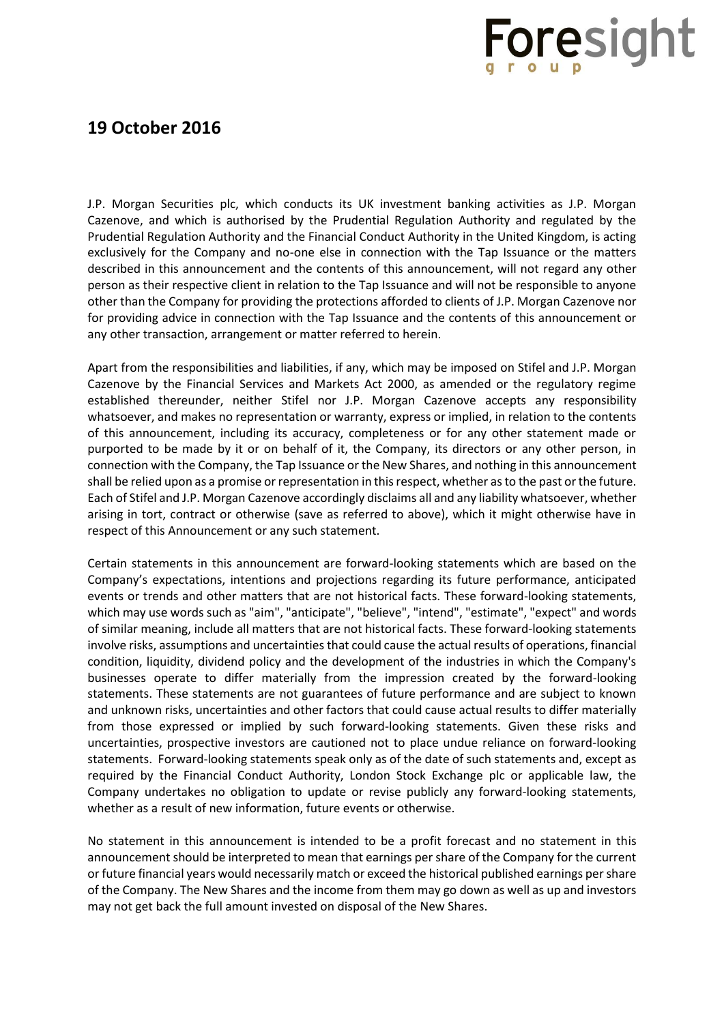## **19 October 2016**

J.P. Morgan Securities plc, which conducts its UK investment banking activities as J.P. Morgan Cazenove, and which is authorised by the Prudential Regulation Authority and regulated by the Prudential Regulation Authority and the Financial Conduct Authority in the United Kingdom, is acting exclusively for the Company and no-one else in connection with the Tap Issuance or the matters described in this announcement and the contents of this announcement, will not regard any other person as their respective client in relation to the Tap Issuance and will not be responsible to anyone other than the Company for providing the protections afforded to clients of J.P. Morgan Cazenove nor for providing advice in connection with the Tap Issuance and the contents of this announcement or any other transaction, arrangement or matter referred to herein.

Apart from the responsibilities and liabilities, if any, which may be imposed on Stifel and J.P. Morgan Cazenove by the Financial Services and Markets Act 2000, as amended or the regulatory regime established thereunder, neither Stifel nor J.P. Morgan Cazenove accepts any responsibility whatsoever, and makes no representation or warranty, express or implied, in relation to the contents of this announcement, including its accuracy, completeness or for any other statement made or purported to be made by it or on behalf of it, the Company, its directors or any other person, in connection with the Company, the Tap Issuance or the New Shares, and nothing in this announcement shall be relied upon as a promise or representation in this respect, whether as to the past or the future. Each of Stifel and J.P. Morgan Cazenove accordingly disclaims all and any liability whatsoever, whether arising in tort, contract or otherwise (save as referred to above), which it might otherwise have in respect of this Announcement or any such statement.

Certain statements in this announcement are forward-looking statements which are based on the Company's expectations, intentions and projections regarding its future performance, anticipated events or trends and other matters that are not historical facts. These forward-looking statements, which may use words such as "aim", "anticipate", "believe", "intend", "estimate", "expect" and words of similar meaning, include all matters that are not historical facts. These forward-looking statements involve risks, assumptions and uncertainties that could cause the actual results of operations, financial condition, liquidity, dividend policy and the development of the industries in which the Company's businesses operate to differ materially from the impression created by the forward-looking statements. These statements are not guarantees of future performance and are subject to known and unknown risks, uncertainties and other factors that could cause actual results to differ materially from those expressed or implied by such forward-looking statements. Given these risks and uncertainties, prospective investors are cautioned not to place undue reliance on forward-looking statements. Forward-looking statements speak only as of the date of such statements and, except as required by the Financial Conduct Authority, London Stock Exchange plc or applicable law, the Company undertakes no obligation to update or revise publicly any forward-looking statements, whether as a result of new information, future events or otherwise.

No statement in this announcement is intended to be a profit forecast and no statement in this announcement should be interpreted to mean that earnings per share of the Company for the current or future financial years would necessarily match or exceed the historical published earnings per share of the Company. The New Shares and the income from them may go down as well as up and investors may not get back the full amount invested on disposal of the New Shares.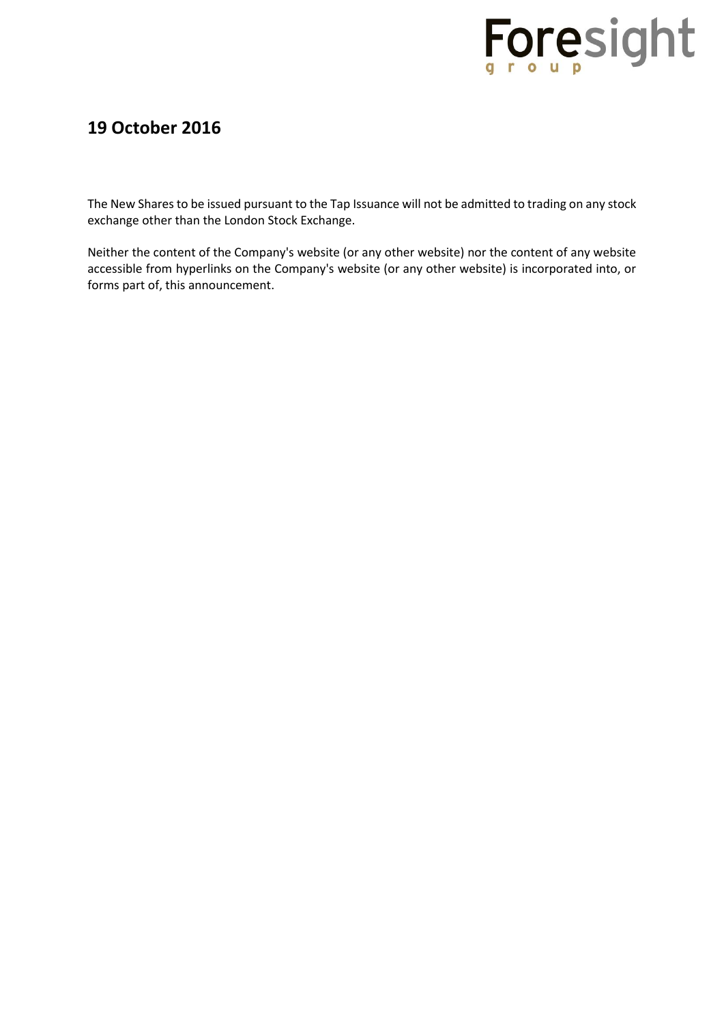

The New Shares to be issued pursuant to the Tap Issuance will not be admitted to trading on any stock exchange other than the London Stock Exchange.

Neither the content of the Company's website (or any other website) nor the content of any website accessible from hyperlinks on the Company's website (or any other website) is incorporated into, or forms part of, this announcement.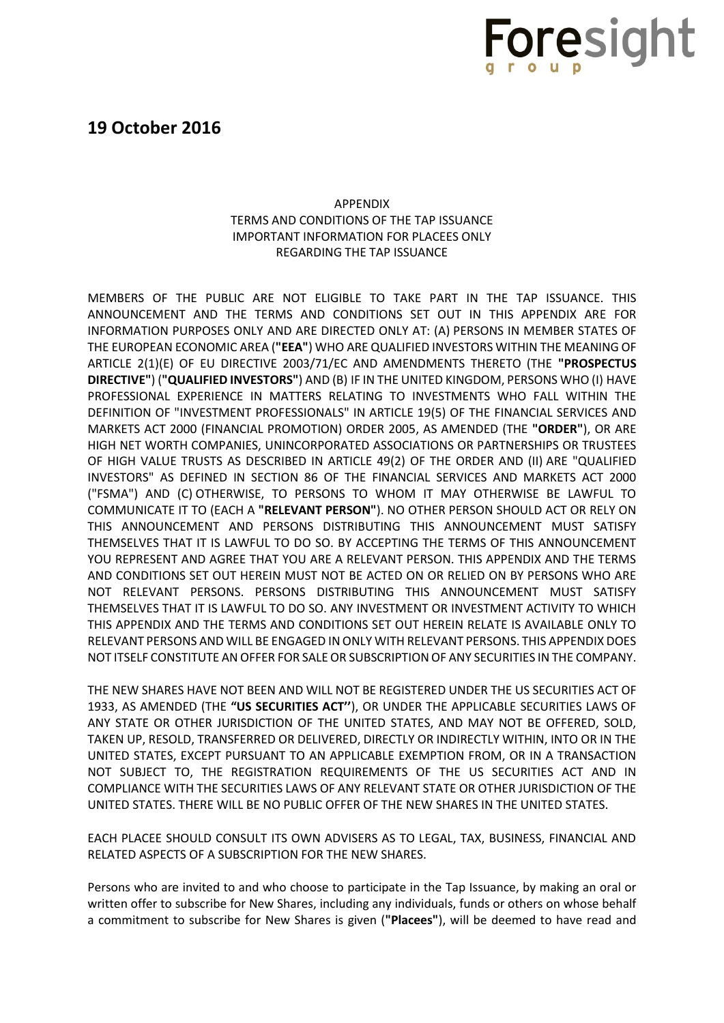

### APPENDIX TERMS AND CONDITIONS OF THE TAP ISSUANCE IMPORTANT INFORMATION FOR PLACEES ONLY REGARDING THE TAP ISSUANCE

MEMBERS OF THE PUBLIC ARE NOT ELIGIBLE TO TAKE PART IN THE TAP ISSUANCE. THIS ANNOUNCEMENT AND THE TERMS AND CONDITIONS SET OUT IN THIS APPENDIX ARE FOR INFORMATION PURPOSES ONLY AND ARE DIRECTED ONLY AT: (A) PERSONS IN MEMBER STATES OF THE EUROPEAN ECONOMIC AREA (**"EEA"**) WHO ARE QUALIFIED INVESTORS WITHIN THE MEANING OF ARTICLE 2(1)(E) OF EU DIRECTIVE 2003/71/EC AND AMENDMENTS THERETO (THE **"PROSPECTUS DIRECTIVE"**) (**"QUALIFIED INVESTORS"**) AND (B) IF IN THE UNITED KINGDOM, PERSONS WHO (I) HAVE PROFESSIONAL EXPERIENCE IN MATTERS RELATING TO INVESTMENTS WHO FALL WITHIN THE DEFINITION OF "INVESTMENT PROFESSIONALS" IN ARTICLE 19(5) OF THE FINANCIAL SERVICES AND MARKETS ACT 2000 (FINANCIAL PROMOTION) ORDER 2005, AS AMENDED (THE **"ORDER"**), OR ARE HIGH NET WORTH COMPANIES, UNINCORPORATED ASSOCIATIONS OR PARTNERSHIPS OR TRUSTEES OF HIGH VALUE TRUSTS AS DESCRIBED IN ARTICLE 49(2) OF THE ORDER AND (II) ARE "QUALIFIED INVESTORS" AS DEFINED IN SECTION 86 OF THE FINANCIAL SERVICES AND MARKETS ACT 2000 ("FSMA") AND (C) OTHERWISE, TO PERSONS TO WHOM IT MAY OTHERWISE BE LAWFUL TO COMMUNICATE IT TO (EACH A **"RELEVANT PERSON"**). NO OTHER PERSON SHOULD ACT OR RELY ON THIS ANNOUNCEMENT AND PERSONS DISTRIBUTING THIS ANNOUNCEMENT MUST SATISFY THEMSELVES THAT IT IS LAWFUL TO DO SO. BY ACCEPTING THE TERMS OF THIS ANNOUNCEMENT YOU REPRESENT AND AGREE THAT YOU ARE A RELEVANT PERSON. THIS APPENDIX AND THE TERMS AND CONDITIONS SET OUT HEREIN MUST NOT BE ACTED ON OR RELIED ON BY PERSONS WHO ARE NOT RELEVANT PERSONS. PERSONS DISTRIBUTING THIS ANNOUNCEMENT MUST SATISFY THEMSELVES THAT IT IS LAWFUL TO DO SO. ANY INVESTMENT OR INVESTMENT ACTIVITY TO WHICH THIS APPENDIX AND THE TERMS AND CONDITIONS SET OUT HEREIN RELATE IS AVAILABLE ONLY TO RELEVANT PERSONS AND WILL BE ENGAGED IN ONLY WITH RELEVANT PERSONS. THIS APPENDIX DOES NOT ITSELF CONSTITUTE AN OFFER FOR SALE OR SUBSCRIPTION OF ANY SECURITIES IN THE COMPANY.

THE NEW SHARES HAVE NOT BEEN AND WILL NOT BE REGISTERED UNDER THE US SECURITIES ACT OF 1933, AS AMENDED (THE **"US SECURITIES ACT''**), OR UNDER THE APPLICABLE SECURITIES LAWS OF ANY STATE OR OTHER JURISDICTION OF THE UNITED STATES, AND MAY NOT BE OFFERED, SOLD, TAKEN UP, RESOLD, TRANSFERRED OR DELIVERED, DIRECTLY OR INDIRECTLY WITHIN, INTO OR IN THE UNITED STATES, EXCEPT PURSUANT TO AN APPLICABLE EXEMPTION FROM, OR IN A TRANSACTION NOT SUBJECT TO, THE REGISTRATION REQUIREMENTS OF THE US SECURITIES ACT AND IN COMPLIANCE WITH THE SECURITIES LAWS OF ANY RELEVANT STATE OR OTHER JURISDICTION OF THE UNITED STATES. THERE WILL BE NO PUBLIC OFFER OF THE NEW SHARES IN THE UNITED STATES.

EACH PLACEE SHOULD CONSULT ITS OWN ADVISERS AS TO LEGAL, TAX, BUSINESS, FINANCIAL AND RELATED ASPECTS OF A SUBSCRIPTION FOR THE NEW SHARES.

Persons who are invited to and who choose to participate in the Tap Issuance, by making an oral or written offer to subscribe for New Shares, including any individuals, funds or others on whose behalf a commitment to subscribe for New Shares is given (**"Placees"**), will be deemed to have read and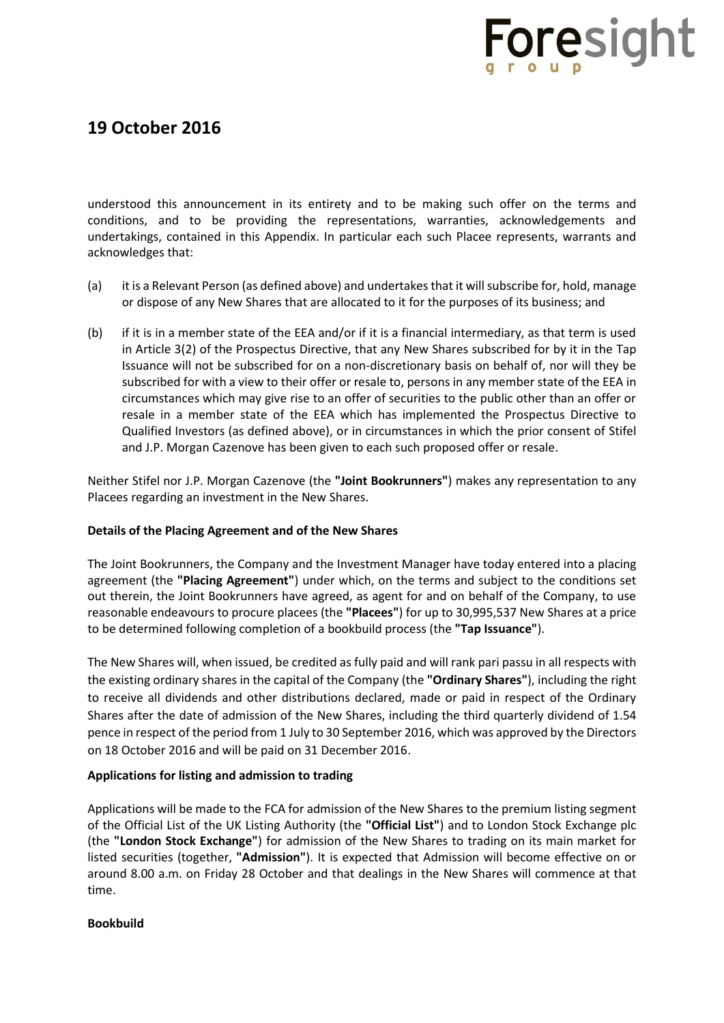### **19 October 2016**

understood this announcement in its entirety and to be making such offer on the terms and conditions, and to be providing the representations, warranties, acknowledgements and undertakings, contained in this Appendix. In particular each such Placee represents, warrants and acknowledges that:

- (a) it is a Relevant Person (as defined above) and undertakes that it will subscribe for, hold, manage or dispose of any New Shares that are allocated to it for the purposes of its business; and
- (b) if it is in a member state of the EEA and/or if it is a financial intermediary, as that term is used in Article 3(2) of the Prospectus Directive, that any New Shares subscribed for by it in the Tap Issuance will not be subscribed for on a non-discretionary basis on behalf of, nor will they be subscribed for with a view to their offer or resale to, persons in any member state of the EEA in circumstances which may give rise to an offer of securities to the public other than an offer or resale in a member state of the EEA which has implemented the Prospectus Directive to Qualified Investors (as defined above), or in circumstances in which the prior consent of Stifel and J.P. Morgan Cazenove has been given to each such proposed offer or resale.

Neither Stifel nor J.P. Morgan Cazenove (the **"Joint Bookrunners"**) makes any representation to any Placees regarding an investment in the New Shares.

### **Details of the Placing Agreement and of the New Shares**

The Joint Bookrunners, the Company and the Investment Manager have today entered into a placing agreement (the **"Placing Agreement"**) under which, on the terms and subject to the conditions set out therein, the Joint Bookrunners have agreed, as agent for and on behalf of the Company, to use reasonable endeavours to procure placees (the **"Placees"**) for up to 30,995,537 New Shares at a price to be determined following completion of a bookbuild process (the **"Tap Issuance"**).

The New Shares will, when issued, be credited as fully paid and will rank pari passu in all respects with the existing ordinary shares in the capital of the Company (the **"Ordinary Shares"**), including the right to receive all dividends and other distributions declared, made or paid in respect of the Ordinary Shares after the date of admission of the New Shares, including the third quarterly dividend of 1.54 pence in respect of the period from 1 July to 30 September 2016, which was approved by the Directors on 18 October 2016 and will be paid on 31 December 2016.

### **Applications for listing and admission to trading**

Applications will be made to the FCA for admission of the New Shares to the premium listing segment of the Official List of the UK Listing Authority (the **"Official List"**) and to London Stock Exchange plc (the **"London Stock Exchange"**) for admission of the New Shares to trading on its main market for listed securities (together, **"Admission"**). It is expected that Admission will become effective on or around 8.00 a.m. on Friday 28 October and that dealings in the New Shares will commence at that time.

### **Bookbuild**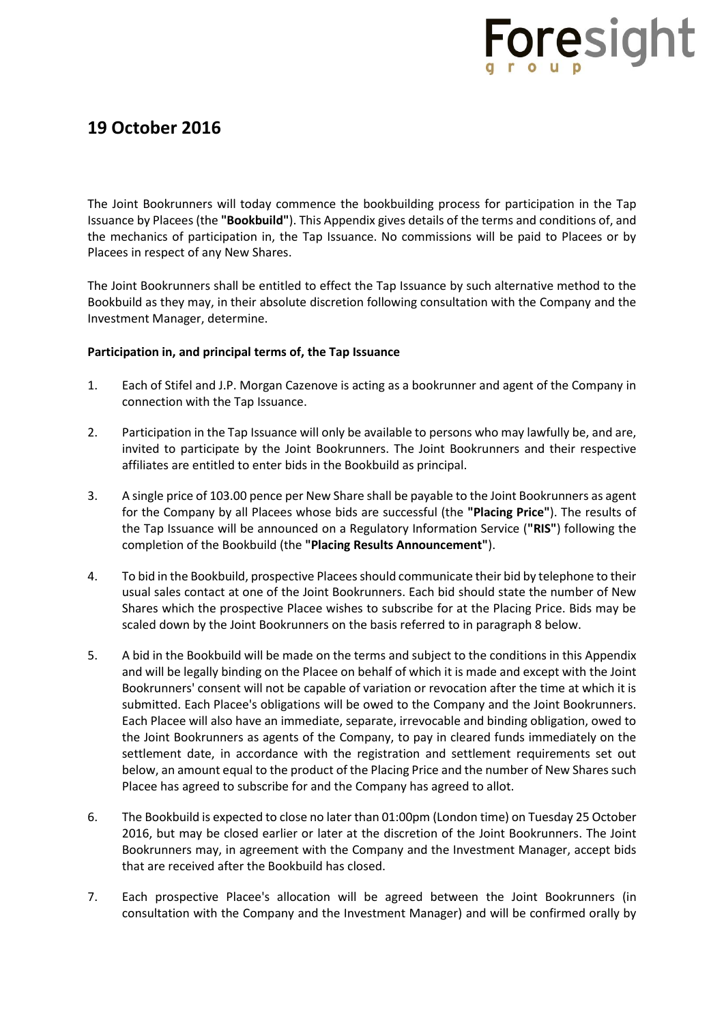## **19 October 2016**

The Joint Bookrunners will today commence the bookbuilding process for participation in the Tap Issuance by Placees (the **"Bookbuild"**). This Appendix gives details of the terms and conditions of, and the mechanics of participation in, the Tap Issuance. No commissions will be paid to Placees or by Placees in respect of any New Shares.

The Joint Bookrunners shall be entitled to effect the Tap Issuance by such alternative method to the Bookbuild as they may, in their absolute discretion following consultation with the Company and the Investment Manager, determine.

### **Participation in, and principal terms of, the Tap Issuance**

- 1. Each of Stifel and J.P. Morgan Cazenove is acting as a bookrunner and agent of the Company in connection with the Tap Issuance.
- 2. Participation in the Tap Issuance will only be available to persons who may lawfully be, and are, invited to participate by the Joint Bookrunners. The Joint Bookrunners and their respective affiliates are entitled to enter bids in the Bookbuild as principal.
- 3. A single price of 103.00 pence per New Share shall be payable to the Joint Bookrunners as agent for the Company by all Placees whose bids are successful (the **"Placing Price"**). The results of the Tap Issuance will be announced on a Regulatory Information Service (**"RIS"**) following the completion of the Bookbuild (the **"Placing Results Announcement"**).
- 4. To bid in the Bookbuild, prospective Placees should communicate their bid by telephone to their usual sales contact at one of the Joint Bookrunners. Each bid should state the number of New Shares which the prospective Placee wishes to subscribe for at the Placing Price. Bids may be scaled down by the Joint Bookrunners on the basis referred to in paragraph 8 below.
- 5. A bid in the Bookbuild will be made on the terms and subject to the conditions in this Appendix and will be legally binding on the Placee on behalf of which it is made and except with the Joint Bookrunners' consent will not be capable of variation or revocation after the time at which it is submitted. Each Placee's obligations will be owed to the Company and the Joint Bookrunners. Each Placee will also have an immediate, separate, irrevocable and binding obligation, owed to the Joint Bookrunners as agents of the Company, to pay in cleared funds immediately on the settlement date, in accordance with the registration and settlement requirements set out below, an amount equal to the product of the Placing Price and the number of New Shares such Placee has agreed to subscribe for and the Company has agreed to allot.
- 6. The Bookbuild is expected to close no later than 01:00pm (London time) on Tuesday 25 October 2016, but may be closed earlier or later at the discretion of the Joint Bookrunners. The Joint Bookrunners may, in agreement with the Company and the Investment Manager, accept bids that are received after the Bookbuild has closed.
- 7. Each prospective Placee's allocation will be agreed between the Joint Bookrunners (in consultation with the Company and the Investment Manager) and will be confirmed orally by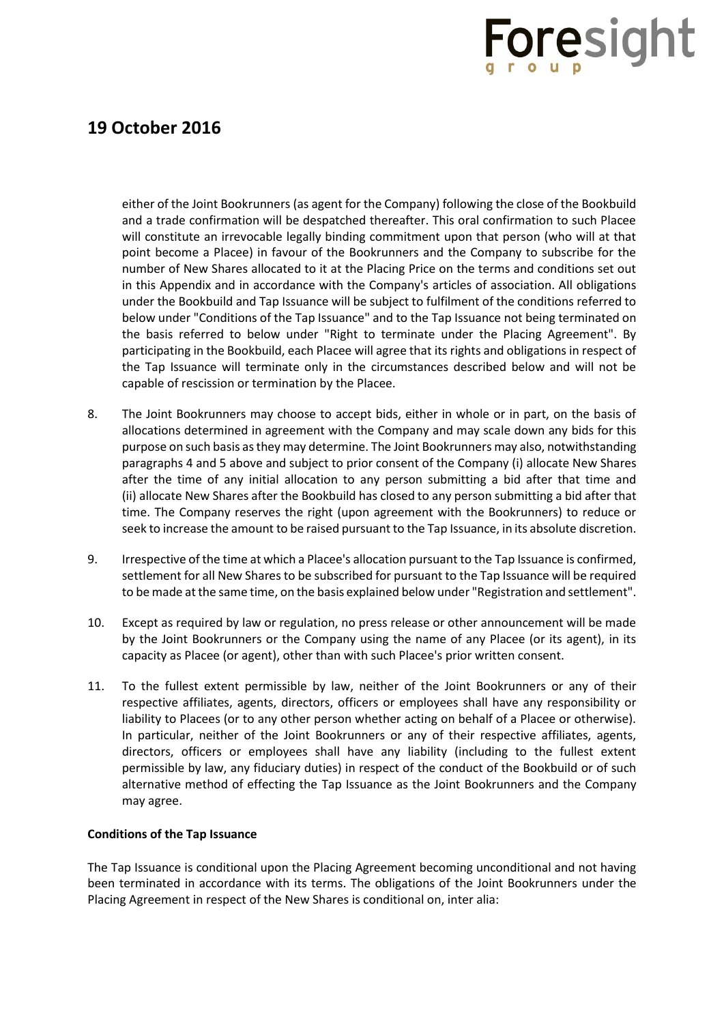### **19 October 2016**

either of the Joint Bookrunners (as agent for the Company) following the close of the Bookbuild and a trade confirmation will be despatched thereafter. This oral confirmation to such Placee will constitute an irrevocable legally binding commitment upon that person (who will at that point become a Placee) in favour of the Bookrunners and the Company to subscribe for the number of New Shares allocated to it at the Placing Price on the terms and conditions set out in this Appendix and in accordance with the Company's articles of association. All obligations under the Bookbuild and Tap Issuance will be subject to fulfilment of the conditions referred to below under "Conditions of the Tap Issuance" and to the Tap Issuance not being terminated on the basis referred to below under "Right to terminate under the Placing Agreement". By participating in the Bookbuild, each Placee will agree that its rights and obligations in respect of the Tap Issuance will terminate only in the circumstances described below and will not be capable of rescission or termination by the Placee.

- 8. The Joint Bookrunners may choose to accept bids, either in whole or in part, on the basis of allocations determined in agreement with the Company and may scale down any bids for this purpose on such basis as they may determine. The Joint Bookrunners may also, notwithstanding paragraphs 4 and 5 above and subject to prior consent of the Company (i) allocate New Shares after the time of any initial allocation to any person submitting a bid after that time and (ii) allocate New Shares after the Bookbuild has closed to any person submitting a bid after that time. The Company reserves the right (upon agreement with the Bookrunners) to reduce or seek to increase the amount to be raised pursuant to the Tap Issuance, in its absolute discretion.
- 9. Irrespective of the time at which a Placee's allocation pursuant to the Tap Issuance is confirmed, settlement for all New Shares to be subscribed for pursuant to the Tap Issuance will be required to be made at the same time, on the basis explained below under "Registration and settlement".
- 10. Except as required by law or regulation, no press release or other announcement will be made by the Joint Bookrunners or the Company using the name of any Placee (or its agent), in its capacity as Placee (or agent), other than with such Placee's prior written consent.
- 11. To the fullest extent permissible by law, neither of the Joint Bookrunners or any of their respective affiliates, agents, directors, officers or employees shall have any responsibility or liability to Placees (or to any other person whether acting on behalf of a Placee or otherwise). In particular, neither of the Joint Bookrunners or any of their respective affiliates, agents, directors, officers or employees shall have any liability (including to the fullest extent permissible by law, any fiduciary duties) in respect of the conduct of the Bookbuild or of such alternative method of effecting the Tap Issuance as the Joint Bookrunners and the Company may agree.

### **Conditions of the Tap Issuance**

The Tap Issuance is conditional upon the Placing Agreement becoming unconditional and not having been terminated in accordance with its terms. The obligations of the Joint Bookrunners under the Placing Agreement in respect of the New Shares is conditional on, inter alia: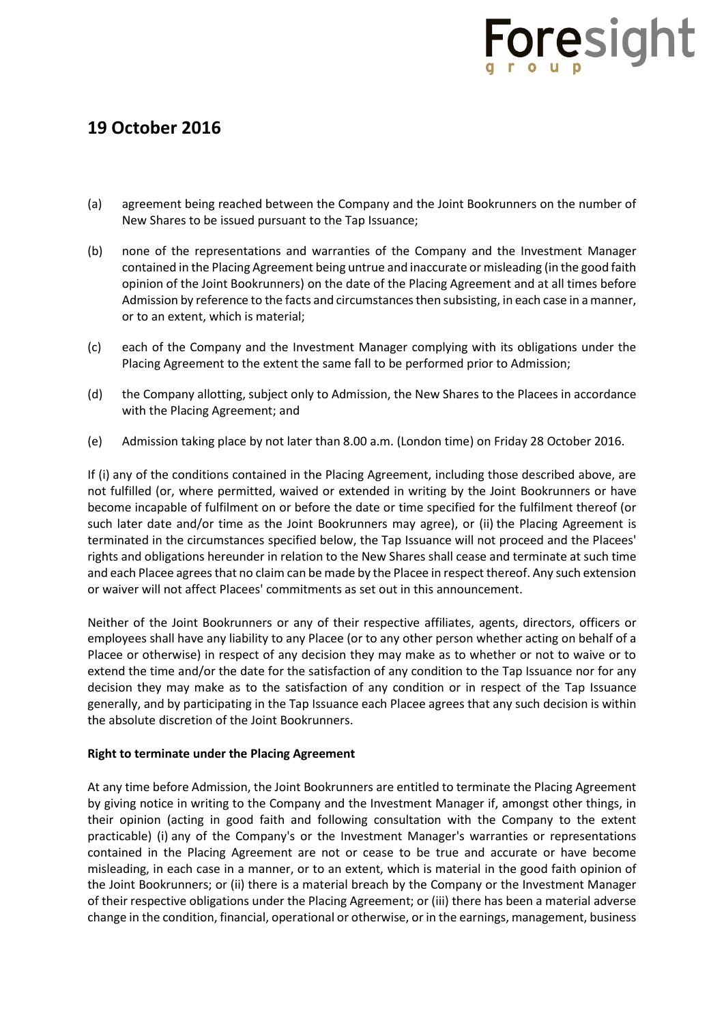## **19 October 2016**

- (a) agreement being reached between the Company and the Joint Bookrunners on the number of New Shares to be issued pursuant to the Tap Issuance;
- (b) none of the representations and warranties of the Company and the Investment Manager contained in the Placing Agreement being untrue and inaccurate or misleading (in the good faith opinion of the Joint Bookrunners) on the date of the Placing Agreement and at all times before Admission by reference to the facts and circumstances then subsisting, in each case in a manner, or to an extent, which is material;
- (c) each of the Company and the Investment Manager complying with its obligations under the Placing Agreement to the extent the same fall to be performed prior to Admission;
- (d) the Company allotting, subject only to Admission, the New Shares to the Placees in accordance with the Placing Agreement; and
- (e) Admission taking place by not later than 8.00 a.m. (London time) on Friday 28 October 2016.

If (i) any of the conditions contained in the Placing Agreement, including those described above, are not fulfilled (or, where permitted, waived or extended in writing by the Joint Bookrunners or have become incapable of fulfilment on or before the date or time specified for the fulfilment thereof (or such later date and/or time as the Joint Bookrunners may agree), or (ii) the Placing Agreement is terminated in the circumstances specified below, the Tap Issuance will not proceed and the Placees' rights and obligations hereunder in relation to the New Shares shall cease and terminate at such time and each Placee agrees that no claim can be made by the Placee in respect thereof. Any such extension or waiver will not affect Placees' commitments as set out in this announcement.

Neither of the Joint Bookrunners or any of their respective affiliates, agents, directors, officers or employees shall have any liability to any Placee (or to any other person whether acting on behalf of a Placee or otherwise) in respect of any decision they may make as to whether or not to waive or to extend the time and/or the date for the satisfaction of any condition to the Tap Issuance nor for any decision they may make as to the satisfaction of any condition or in respect of the Tap Issuance generally, and by participating in the Tap Issuance each Placee agrees that any such decision is within the absolute discretion of the Joint Bookrunners.

#### **Right to terminate under the Placing Agreement**

At any time before Admission, the Joint Bookrunners are entitled to terminate the Placing Agreement by giving notice in writing to the Company and the Investment Manager if, amongst other things, in their opinion (acting in good faith and following consultation with the Company to the extent practicable) (i) any of the Company's or the Investment Manager's warranties or representations contained in the Placing Agreement are not or cease to be true and accurate or have become misleading, in each case in a manner, or to an extent, which is material in the good faith opinion of the Joint Bookrunners; or (ii) there is a material breach by the Company or the Investment Manager of their respective obligations under the Placing Agreement; or (iii) there has been a material adverse change in the condition, financial, operational or otherwise, or in the earnings, management, business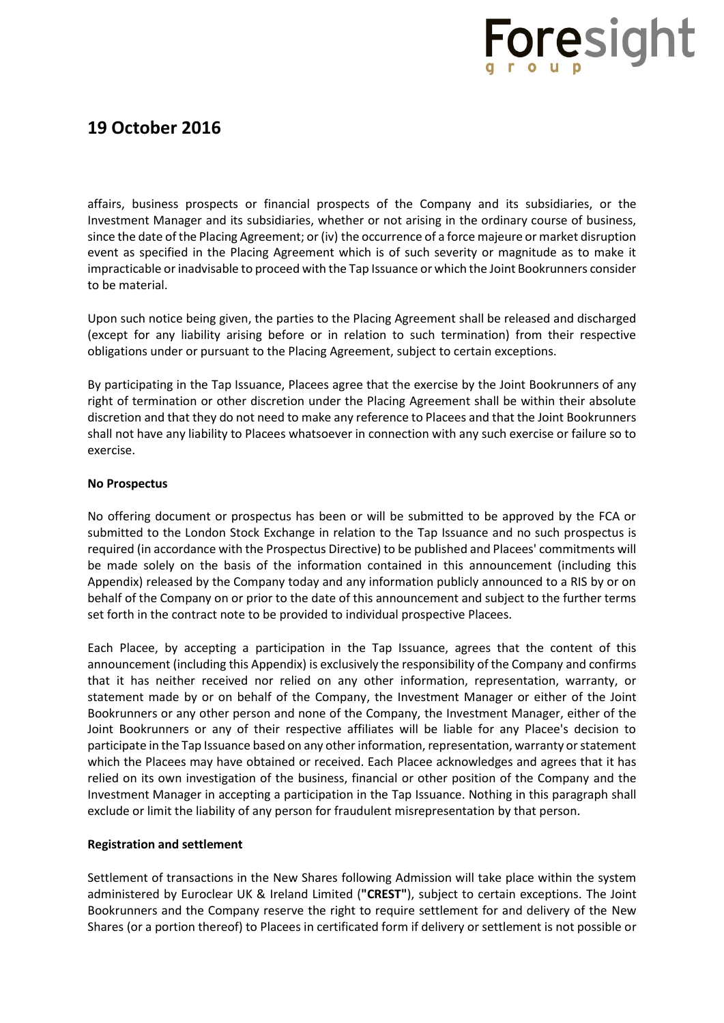## **19 October 2016**

affairs, business prospects or financial prospects of the Company and its subsidiaries, or the Investment Manager and its subsidiaries, whether or not arising in the ordinary course of business, since the date of the Placing Agreement; or (iv) the occurrence of a force majeure or market disruption event as specified in the Placing Agreement which is of such severity or magnitude as to make it impracticable or inadvisable to proceed with the Tap Issuance or which the Joint Bookrunners consider to be material.

Upon such notice being given, the parties to the Placing Agreement shall be released and discharged (except for any liability arising before or in relation to such termination) from their respective obligations under or pursuant to the Placing Agreement, subject to certain exceptions.

By participating in the Tap Issuance, Placees agree that the exercise by the Joint Bookrunners of any right of termination or other discretion under the Placing Agreement shall be within their absolute discretion and that they do not need to make any reference to Placees and that the Joint Bookrunners shall not have any liability to Placees whatsoever in connection with any such exercise or failure so to exercise.

### **No Prospectus**

No offering document or prospectus has been or will be submitted to be approved by the FCA or submitted to the London Stock Exchange in relation to the Tap Issuance and no such prospectus is required (in accordance with the Prospectus Directive) to be published and Placees' commitments will be made solely on the basis of the information contained in this announcement (including this Appendix) released by the Company today and any information publicly announced to a RIS by or on behalf of the Company on or prior to the date of this announcement and subject to the further terms set forth in the contract note to be provided to individual prospective Placees.

Each Placee, by accepting a participation in the Tap Issuance, agrees that the content of this announcement (including this Appendix) is exclusively the responsibility of the Company and confirms that it has neither received nor relied on any other information, representation, warranty, or statement made by or on behalf of the Company, the Investment Manager or either of the Joint Bookrunners or any other person and none of the Company, the Investment Manager, either of the Joint Bookrunners or any of their respective affiliates will be liable for any Placee's decision to participate in the Tap Issuance based on any other information, representation, warranty or statement which the Placees may have obtained or received. Each Placee acknowledges and agrees that it has relied on its own investigation of the business, financial or other position of the Company and the Investment Manager in accepting a participation in the Tap Issuance. Nothing in this paragraph shall exclude or limit the liability of any person for fraudulent misrepresentation by that person.

#### **Registration and settlement**

Settlement of transactions in the New Shares following Admission will take place within the system administered by Euroclear UK & Ireland Limited (**"CREST"**), subject to certain exceptions. The Joint Bookrunners and the Company reserve the right to require settlement for and delivery of the New Shares (or a portion thereof) to Placees in certificated form if delivery or settlement is not possible or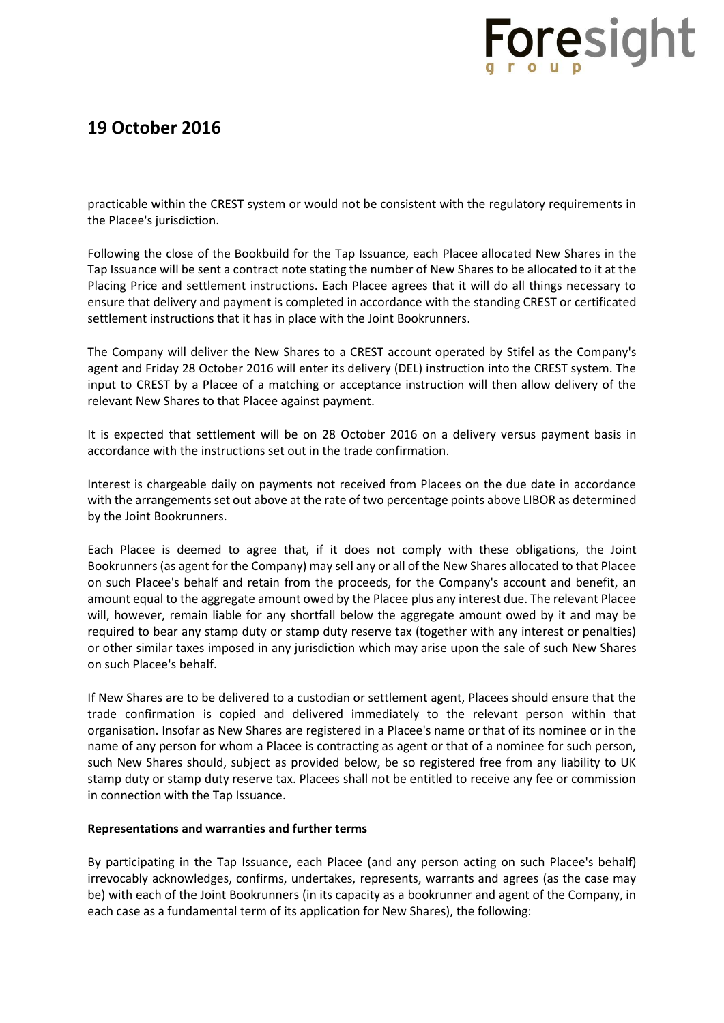## **19 October 2016**

practicable within the CREST system or would not be consistent with the regulatory requirements in the Placee's jurisdiction.

Following the close of the Bookbuild for the Tap Issuance, each Placee allocated New Shares in the Tap Issuance will be sent a contract note stating the number of New Shares to be allocated to it at the Placing Price and settlement instructions. Each Placee agrees that it will do all things necessary to ensure that delivery and payment is completed in accordance with the standing CREST or certificated settlement instructions that it has in place with the Joint Bookrunners.

The Company will deliver the New Shares to a CREST account operated by Stifel as the Company's agent and Friday 28 October 2016 will enter its delivery (DEL) instruction into the CREST system. The input to CREST by a Placee of a matching or acceptance instruction will then allow delivery of the relevant New Shares to that Placee against payment.

It is expected that settlement will be on 28 October 2016 on a delivery versus payment basis in accordance with the instructions set out in the trade confirmation.

Interest is chargeable daily on payments not received from Placees on the due date in accordance with the arrangements set out above at the rate of two percentage points above LIBOR as determined by the Joint Bookrunners.

Each Placee is deemed to agree that, if it does not comply with these obligations, the Joint Bookrunners (as agent for the Company) may sell any or all of the New Shares allocated to that Placee on such Placee's behalf and retain from the proceeds, for the Company's account and benefit, an amount equal to the aggregate amount owed by the Placee plus any interest due. The relevant Placee will, however, remain liable for any shortfall below the aggregate amount owed by it and may be required to bear any stamp duty or stamp duty reserve tax (together with any interest or penalties) or other similar taxes imposed in any jurisdiction which may arise upon the sale of such New Shares on such Placee's behalf.

If New Shares are to be delivered to a custodian or settlement agent, Placees should ensure that the trade confirmation is copied and delivered immediately to the relevant person within that organisation. Insofar as New Shares are registered in a Placee's name or that of its nominee or in the name of any person for whom a Placee is contracting as agent or that of a nominee for such person, such New Shares should, subject as provided below, be so registered free from any liability to UK stamp duty or stamp duty reserve tax. Placees shall not be entitled to receive any fee or commission in connection with the Tap Issuance.

#### **Representations and warranties and further terms**

By participating in the Tap Issuance, each Placee (and any person acting on such Placee's behalf) irrevocably acknowledges, confirms, undertakes, represents, warrants and agrees (as the case may be) with each of the Joint Bookrunners (in its capacity as a bookrunner and agent of the Company, in each case as a fundamental term of its application for New Shares), the following: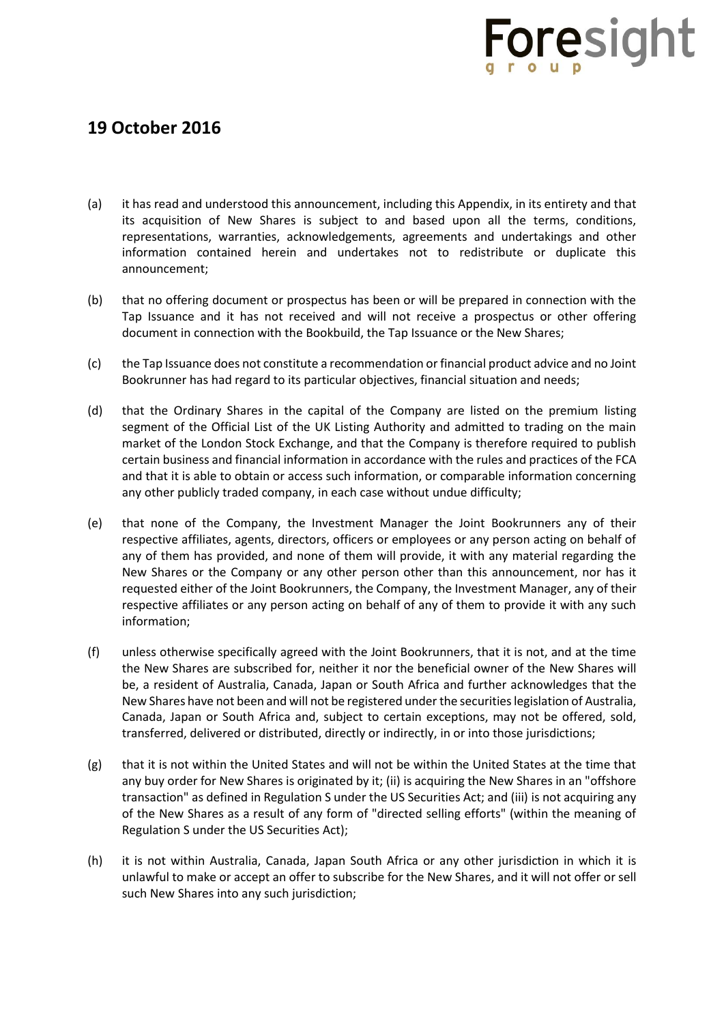- (a) it has read and understood this announcement, including this Appendix, in its entirety and that its acquisition of New Shares is subject to and based upon all the terms, conditions, representations, warranties, acknowledgements, agreements and undertakings and other information contained herein and undertakes not to redistribute or duplicate this announcement;
- (b) that no offering document or prospectus has been or will be prepared in connection with the Tap Issuance and it has not received and will not receive a prospectus or other offering document in connection with the Bookbuild, the Tap Issuance or the New Shares;
- (c) the Tap Issuance does not constitute a recommendation or financial product advice and no Joint Bookrunner has had regard to its particular objectives, financial situation and needs;
- (d) that the Ordinary Shares in the capital of the Company are listed on the premium listing segment of the Official List of the UK Listing Authority and admitted to trading on the main market of the London Stock Exchange, and that the Company is therefore required to publish certain business and financial information in accordance with the rules and practices of the FCA and that it is able to obtain or access such information, or comparable information concerning any other publicly traded company, in each case without undue difficulty;
- (e) that none of the Company, the Investment Manager the Joint Bookrunners any of their respective affiliates, agents, directors, officers or employees or any person acting on behalf of any of them has provided, and none of them will provide, it with any material regarding the New Shares or the Company or any other person other than this announcement, nor has it requested either of the Joint Bookrunners, the Company, the Investment Manager, any of their respective affiliates or any person acting on behalf of any of them to provide it with any such information;
- (f) unless otherwise specifically agreed with the Joint Bookrunners, that it is not, and at the time the New Shares are subscribed for, neither it nor the beneficial owner of the New Shares will be, a resident of Australia, Canada, Japan or South Africa and further acknowledges that the New Shares have not been and will not be registered under the securities legislation of Australia, Canada, Japan or South Africa and, subject to certain exceptions, may not be offered, sold, transferred, delivered or distributed, directly or indirectly, in or into those jurisdictions;
- (g) that it is not within the United States and will not be within the United States at the time that any buy order for New Shares is originated by it; (ii) is acquiring the New Shares in an "offshore transaction" as defined in Regulation S under the US Securities Act; and (iii) is not acquiring any of the New Shares as a result of any form of "directed selling efforts" (within the meaning of Regulation S under the US Securities Act);
- (h) it is not within Australia, Canada, Japan South Africa or any other jurisdiction in which it is unlawful to make or accept an offer to subscribe for the New Shares, and it will not offer or sell such New Shares into any such jurisdiction;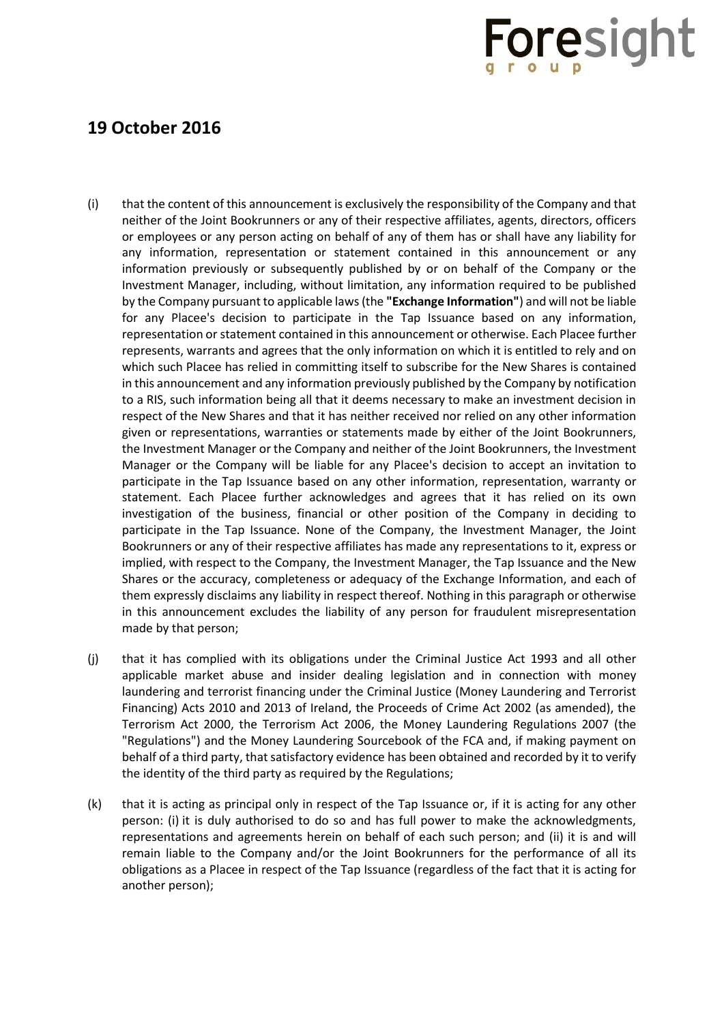- (i) that the content of this announcement is exclusively the responsibility of the Company and that neither of the Joint Bookrunners or any of their respective affiliates, agents, directors, officers or employees or any person acting on behalf of any of them has or shall have any liability for any information, representation or statement contained in this announcement or any information previously or subsequently published by or on behalf of the Company or the Investment Manager, including, without limitation, any information required to be published by the Company pursuant to applicable laws (the **"Exchange Information"**) and will not be liable for any Placee's decision to participate in the Tap Issuance based on any information, representation or statement contained in this announcement or otherwise. Each Placee further represents, warrants and agrees that the only information on which it is entitled to rely and on which such Placee has relied in committing itself to subscribe for the New Shares is contained in this announcement and any information previously published by the Company by notification to a RIS, such information being all that it deems necessary to make an investment decision in respect of the New Shares and that it has neither received nor relied on any other information given or representations, warranties or statements made by either of the Joint Bookrunners, the Investment Manager or the Company and neither of the Joint Bookrunners, the Investment Manager or the Company will be liable for any Placee's decision to accept an invitation to participate in the Tap Issuance based on any other information, representation, warranty or statement. Each Placee further acknowledges and agrees that it has relied on its own investigation of the business, financial or other position of the Company in deciding to participate in the Tap Issuance. None of the Company, the Investment Manager, the Joint Bookrunners or any of their respective affiliates has made any representations to it, express or implied, with respect to the Company, the Investment Manager, the Tap Issuance and the New Shares or the accuracy, completeness or adequacy of the Exchange Information, and each of them expressly disclaims any liability in respect thereof. Nothing in this paragraph or otherwise in this announcement excludes the liability of any person for fraudulent misrepresentation made by that person;
- (j) that it has complied with its obligations under the Criminal Justice Act 1993 and all other applicable market abuse and insider dealing legislation and in connection with money laundering and terrorist financing under the Criminal Justice (Money Laundering and Terrorist Financing) Acts 2010 and 2013 of Ireland, the Proceeds of Crime Act 2002 (as amended), the Terrorism Act 2000, the Terrorism Act 2006, the Money Laundering Regulations 2007 (the "Regulations") and the Money Laundering Sourcebook of the FCA and, if making payment on behalf of a third party, that satisfactory evidence has been obtained and recorded by it to verify the identity of the third party as required by the Regulations;
- (k) that it is acting as principal only in respect of the Tap Issuance or, if it is acting for any other person: (i) it is duly authorised to do so and has full power to make the acknowledgments, representations and agreements herein on behalf of each such person; and (ii) it is and will remain liable to the Company and/or the Joint Bookrunners for the performance of all its obligations as a Placee in respect of the Tap Issuance (regardless of the fact that it is acting for another person);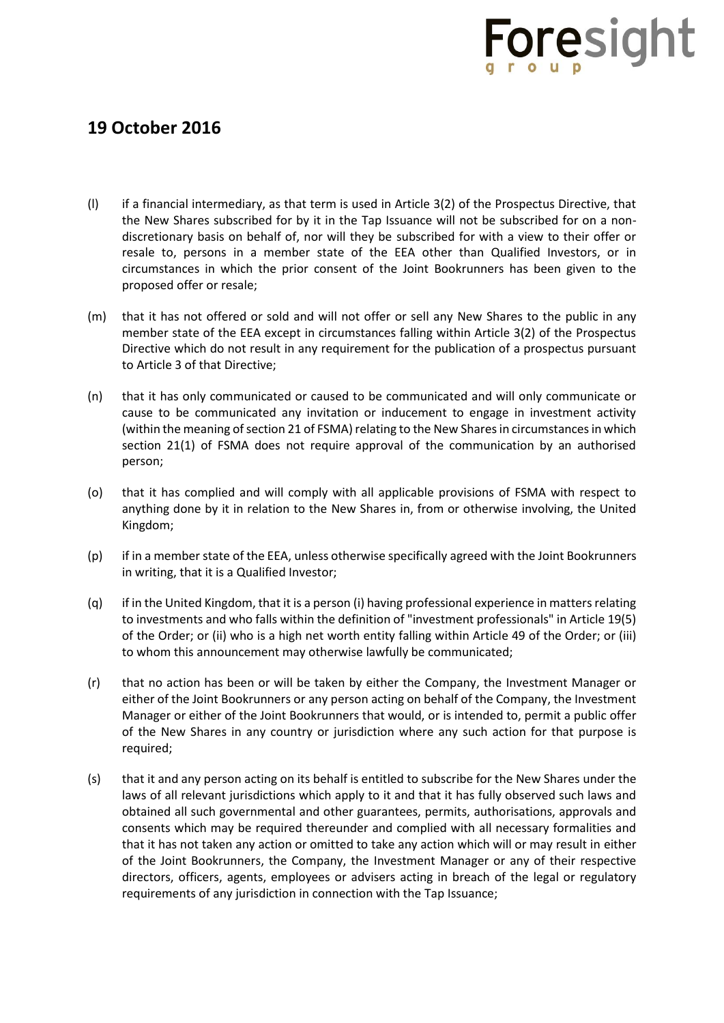- (l) if a financial intermediary, as that term is used in Article 3(2) of the Prospectus Directive, that the New Shares subscribed for by it in the Tap Issuance will not be subscribed for on a nondiscretionary basis on behalf of, nor will they be subscribed for with a view to their offer or resale to, persons in a member state of the EEA other than Qualified Investors, or in circumstances in which the prior consent of the Joint Bookrunners has been given to the proposed offer or resale;
- (m) that it has not offered or sold and will not offer or sell any New Shares to the public in any member state of the EEA except in circumstances falling within Article 3(2) of the Prospectus Directive which do not result in any requirement for the publication of a prospectus pursuant to Article 3 of that Directive;
- (n) that it has only communicated or caused to be communicated and will only communicate or cause to be communicated any invitation or inducement to engage in investment activity (within the meaning of section 21 of FSMA) relating to the New Sharesin circumstances in which section 21(1) of FSMA does not require approval of the communication by an authorised person;
- (o) that it has complied and will comply with all applicable provisions of FSMA with respect to anything done by it in relation to the New Shares in, from or otherwise involving, the United Kingdom;
- (p) if in a member state of the EEA, unless otherwise specifically agreed with the Joint Bookrunners in writing, that it is a Qualified Investor;
- (q) if in the United Kingdom, that it is a person (i) having professional experience in matters relating to investments and who falls within the definition of "investment professionals" in Article 19(5) of the Order; or (ii) who is a high net worth entity falling within Article 49 of the Order; or (iii) to whom this announcement may otherwise lawfully be communicated;
- (r) that no action has been or will be taken by either the Company, the Investment Manager or either of the Joint Bookrunners or any person acting on behalf of the Company, the Investment Manager or either of the Joint Bookrunners that would, or is intended to, permit a public offer of the New Shares in any country or jurisdiction where any such action for that purpose is required;
- (s) that it and any person acting on its behalf is entitled to subscribe for the New Shares under the laws of all relevant jurisdictions which apply to it and that it has fully observed such laws and obtained all such governmental and other guarantees, permits, authorisations, approvals and consents which may be required thereunder and complied with all necessary formalities and that it has not taken any action or omitted to take any action which will or may result in either of the Joint Bookrunners, the Company, the Investment Manager or any of their respective directors, officers, agents, employees or advisers acting in breach of the legal or regulatory requirements of any jurisdiction in connection with the Tap Issuance;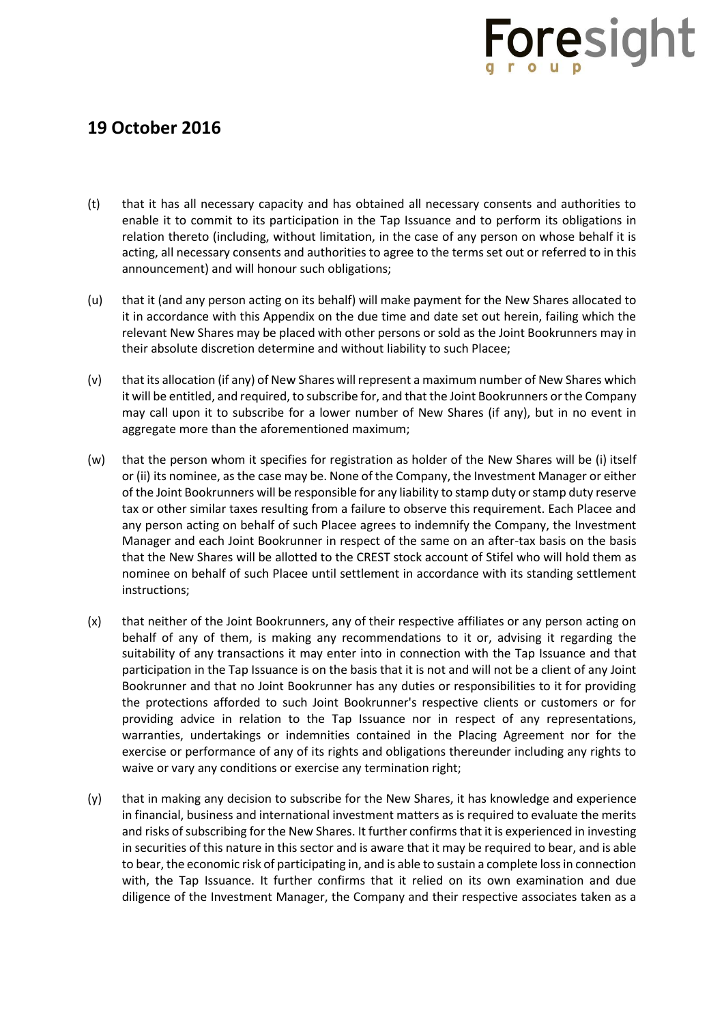- (t) that it has all necessary capacity and has obtained all necessary consents and authorities to enable it to commit to its participation in the Tap Issuance and to perform its obligations in relation thereto (including, without limitation, in the case of any person on whose behalf it is acting, all necessary consents and authorities to agree to the terms set out or referred to in this announcement) and will honour such obligations;
- (u) that it (and any person acting on its behalf) will make payment for the New Shares allocated to it in accordance with this Appendix on the due time and date set out herein, failing which the relevant New Shares may be placed with other persons or sold as the Joint Bookrunners may in their absolute discretion determine and without liability to such Placee;
- (v) that its allocation (if any) of New Shares will represent a maximum number of New Shares which it will be entitled, and required, to subscribe for, and that the Joint Bookrunners or the Company may call upon it to subscribe for a lower number of New Shares (if any), but in no event in aggregate more than the aforementioned maximum;
- (w) that the person whom it specifies for registration as holder of the New Shares will be (i) itself or (ii) its nominee, as the case may be. None of the Company, the Investment Manager or either of the Joint Bookrunners will be responsible for any liability to stamp duty or stamp duty reserve tax or other similar taxes resulting from a failure to observe this requirement. Each Placee and any person acting on behalf of such Placee agrees to indemnify the Company, the Investment Manager and each Joint Bookrunner in respect of the same on an after-tax basis on the basis that the New Shares will be allotted to the CREST stock account of Stifel who will hold them as nominee on behalf of such Placee until settlement in accordance with its standing settlement instructions;
- (x) that neither of the Joint Bookrunners, any of their respective affiliates or any person acting on behalf of any of them, is making any recommendations to it or, advising it regarding the suitability of any transactions it may enter into in connection with the Tap Issuance and that participation in the Tap Issuance is on the basis that it is not and will not be a client of any Joint Bookrunner and that no Joint Bookrunner has any duties or responsibilities to it for providing the protections afforded to such Joint Bookrunner's respective clients or customers or for providing advice in relation to the Tap Issuance nor in respect of any representations, warranties, undertakings or indemnities contained in the Placing Agreement nor for the exercise or performance of any of its rights and obligations thereunder including any rights to waive or vary any conditions or exercise any termination right;
- (y) that in making any decision to subscribe for the New Shares, it has knowledge and experience in financial, business and international investment matters as is required to evaluate the merits and risks of subscribing for the New Shares. It further confirms that it is experienced in investing in securities of this nature in this sector and is aware that it may be required to bear, and is able to bear, the economic risk of participating in, and is able to sustain a complete loss in connection with, the Tap Issuance. It further confirms that it relied on its own examination and due diligence of the Investment Manager, the Company and their respective associates taken as a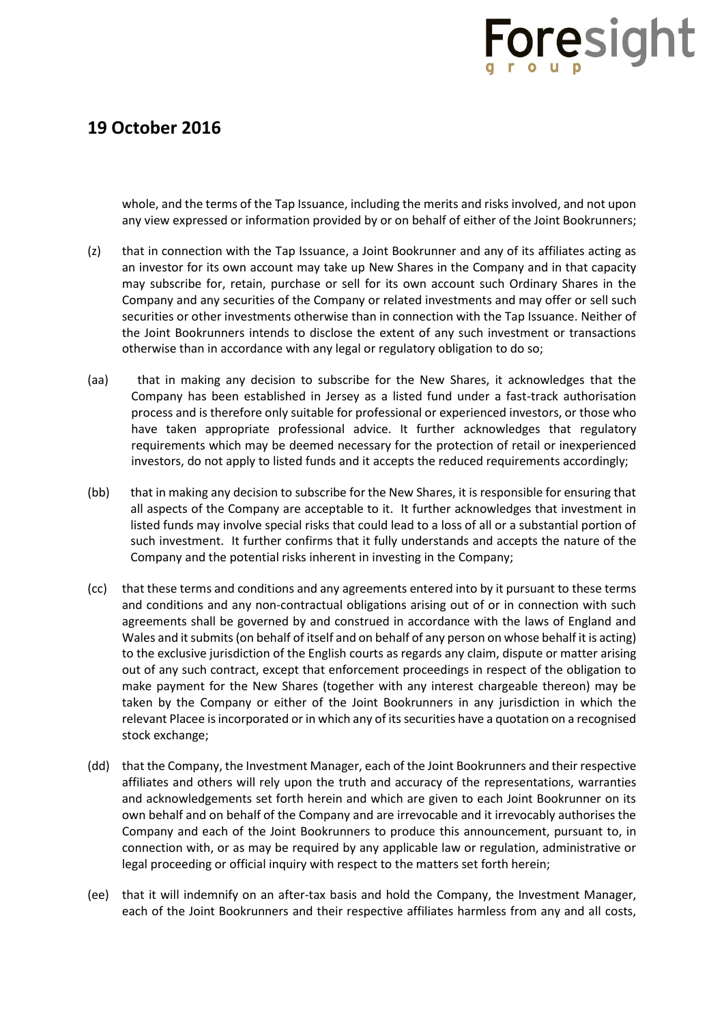

whole, and the terms of the Tap Issuance, including the merits and risks involved, and not upon any view expressed or information provided by or on behalf of either of the Joint Bookrunners;

- (z) that in connection with the Tap Issuance, a Joint Bookrunner and any of its affiliates acting as an investor for its own account may take up New Shares in the Company and in that capacity may subscribe for, retain, purchase or sell for its own account such Ordinary Shares in the Company and any securities of the Company or related investments and may offer or sell such securities or other investments otherwise than in connection with the Tap Issuance. Neither of the Joint Bookrunners intends to disclose the extent of any such investment or transactions otherwise than in accordance with any legal or regulatory obligation to do so;
- (aa) that in making any decision to subscribe for the New Shares, it acknowledges that the Company has been established in Jersey as a listed fund under a fast-track authorisation process and is therefore only suitable for professional or experienced investors, or those who have taken appropriate professional advice. It further acknowledges that regulatory requirements which may be deemed necessary for the protection of retail or inexperienced investors, do not apply to listed funds and it accepts the reduced requirements accordingly;
- (bb) that in making any decision to subscribe for the New Shares, it is responsible for ensuring that all aspects of the Company are acceptable to it. It further acknowledges that investment in listed funds may involve special risks that could lead to a loss of all or a substantial portion of such investment. It further confirms that it fully understands and accepts the nature of the Company and the potential risks inherent in investing in the Company;
- (cc) that these terms and conditions and any agreements entered into by it pursuant to these terms and conditions and any non-contractual obligations arising out of or in connection with such agreements shall be governed by and construed in accordance with the laws of England and Wales and it submits (on behalf of itself and on behalf of any person on whose behalf it is acting) to the exclusive jurisdiction of the English courts as regards any claim, dispute or matter arising out of any such contract, except that enforcement proceedings in respect of the obligation to make payment for the New Shares (together with any interest chargeable thereon) may be taken by the Company or either of the Joint Bookrunners in any jurisdiction in which the relevant Placee is incorporated or in which any of its securities have a quotation on a recognised stock exchange;
- (dd) that the Company, the Investment Manager, each of the Joint Bookrunners and their respective affiliates and others will rely upon the truth and accuracy of the representations, warranties and acknowledgements set forth herein and which are given to each Joint Bookrunner on its own behalf and on behalf of the Company and are irrevocable and it irrevocably authorises the Company and each of the Joint Bookrunners to produce this announcement, pursuant to, in connection with, or as may be required by any applicable law or regulation, administrative or legal proceeding or official inquiry with respect to the matters set forth herein;
- (ee) that it will indemnify on an after-tax basis and hold the Company, the Investment Manager, each of the Joint Bookrunners and their respective affiliates harmless from any and all costs,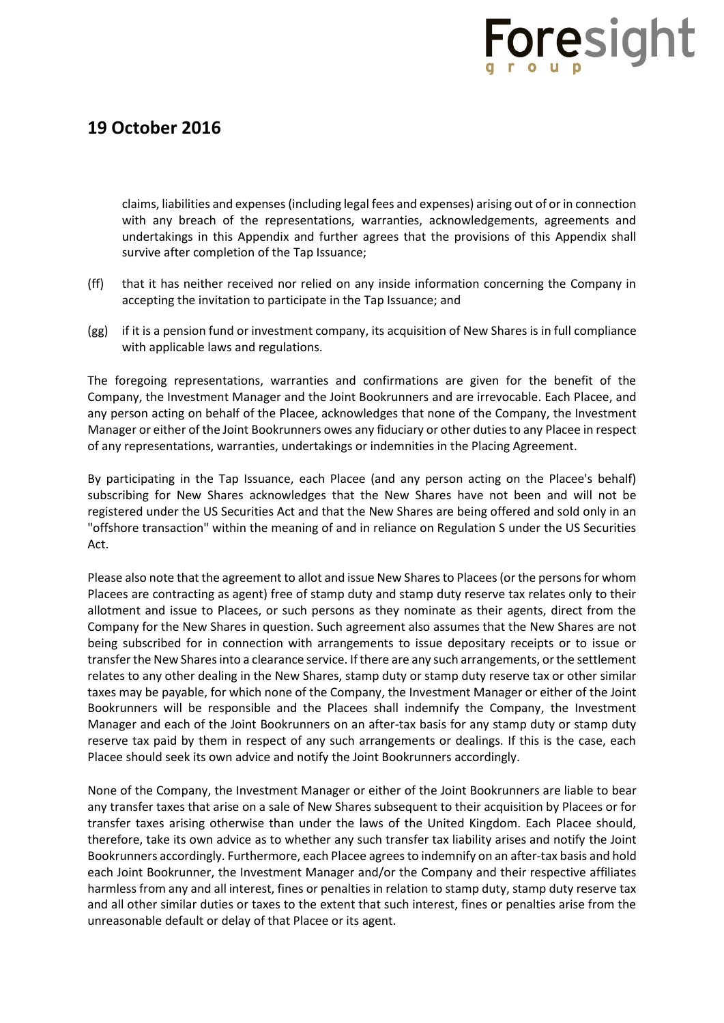### **19 October 2016**

claims, liabilities and expenses (including legal fees and expenses) arising out of or in connection with any breach of the representations, warranties, acknowledgements, agreements and undertakings in this Appendix and further agrees that the provisions of this Appendix shall survive after completion of the Tap Issuance;

- (ff) that it has neither received nor relied on any inside information concerning the Company in accepting the invitation to participate in the Tap Issuance; and
- (gg) if it is a pension fund or investment company, its acquisition of New Shares is in full compliance with applicable laws and regulations.

The foregoing representations, warranties and confirmations are given for the benefit of the Company, the Investment Manager and the Joint Bookrunners and are irrevocable. Each Placee, and any person acting on behalf of the Placee, acknowledges that none of the Company, the Investment Manager or either of the Joint Bookrunners owes any fiduciary or other duties to any Placee in respect of any representations, warranties, undertakings or indemnities in the Placing Agreement.

By participating in the Tap Issuance, each Placee (and any person acting on the Placee's behalf) subscribing for New Shares acknowledges that the New Shares have not been and will not be registered under the US Securities Act and that the New Shares are being offered and sold only in an "offshore transaction" within the meaning of and in reliance on Regulation S under the US Securities Act.

Please also note that the agreement to allot and issue New Sharesto Placees (or the persons for whom Placees are contracting as agent) free of stamp duty and stamp duty reserve tax relates only to their allotment and issue to Placees, or such persons as they nominate as their agents, direct from the Company for the New Shares in question. Such agreement also assumes that the New Shares are not being subscribed for in connection with arrangements to issue depositary receipts or to issue or transfer the New Sharesinto a clearance service. If there are any such arrangements, or the settlement relates to any other dealing in the New Shares, stamp duty or stamp duty reserve tax or other similar taxes may be payable, for which none of the Company, the Investment Manager or either of the Joint Bookrunners will be responsible and the Placees shall indemnify the Company, the Investment Manager and each of the Joint Bookrunners on an after-tax basis for any stamp duty or stamp duty reserve tax paid by them in respect of any such arrangements or dealings. If this is the case, each Placee should seek its own advice and notify the Joint Bookrunners accordingly.

None of the Company, the Investment Manager or either of the Joint Bookrunners are liable to bear any transfer taxes that arise on a sale of New Shares subsequent to their acquisition by Placees or for transfer taxes arising otherwise than under the laws of the United Kingdom. Each Placee should, therefore, take its own advice as to whether any such transfer tax liability arises and notify the Joint Bookrunners accordingly. Furthermore, each Placee agrees to indemnify on an after-tax basis and hold each Joint Bookrunner, the Investment Manager and/or the Company and their respective affiliates harmless from any and all interest, fines or penalties in relation to stamp duty, stamp duty reserve tax and all other similar duties or taxes to the extent that such interest, fines or penalties arise from the unreasonable default or delay of that Placee or its agent.